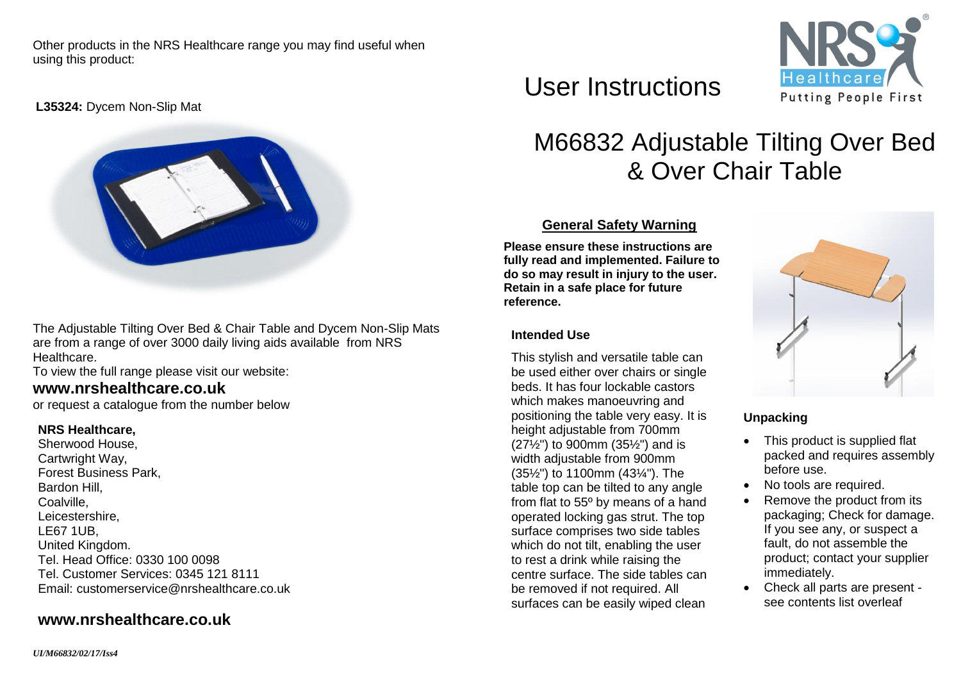Other products in the NRS Healthcare range you may find useful when using this product:

**L35324:** Dycem Non-Slip Mat



The Adjustable Tilting Over Bed & Chair Table and Dycem Non-Slip Mats are from a range of over 3000 daily living aids available from NRS Healthcare.

To view the full range please visit our website:

# **[www.nrshealthcare.co.uk](http://www.nrshealthcare.co.uk/)**

or request a catalogue from the number below

#### **NRS Healthcare,**

Sherwood House, Cartwright Way, Forest Business Park, Bardon Hill, Coalville, Leicestershire, LE67 1UB, United Kingdom. Tel. Head Office: 0330 100 0098 Tel. Customer Services: 0345 121 8111 Email: [customerservice@nrshealthcare.co.uk](mailto:customerservice@nrshealthcare.co.uk)

# **[www.nrshealthcare.co.uk](http://www.nrshealthcare.co.uk/)**

User Instructions



# M66832 Adjustable Tilting Over Bed & Over Chair Table

## **General Safety Warning**

**Please ensure these instructions are fully read and implemented. Failure to do so may result in injury to the user. Retain in a safe place for future reference.**

### **Intended Use**

This stylish and versatile table can be used either over chairs or single beds. It has four lockable castors which makes manoeuvring and positioning the table very easy. It is height adjustable from 700mm (27½") to 900mm (35½") and is width adjustable from 900mm (35½") to 1100mm (43¼"). The table top can be tilted to any angle from flat to 55º by means of a hand operated locking gas strut. The top surface comprises two side tables which do not tilt, enabling the user to rest a drink while raising the centre surface. The side tables can be removed if not required. All surfaces can be easily wiped clean



## **Unpacking**

- This product is supplied flat packed and requires assembly before use.
- No tools are required.
- Remove the product from its packaging; Check for damage. If you see any, or suspect a fault, do not assemble the product; contact your supplier immediately.
- Check all parts are present see contents list overleaf